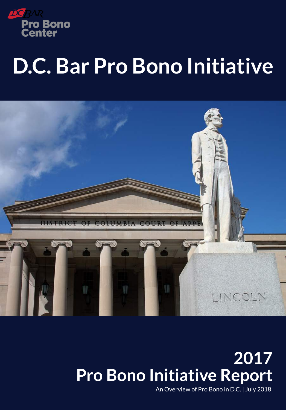

# **D.C. Bar Pro Bono Initiative**



# **2017 Pro Bono Initiative Report**

An Overview of Pro Bono in D.C. | July 2018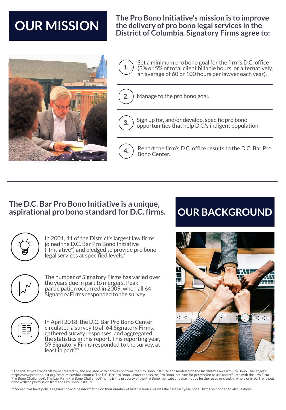### **OUR MISSION**



#### **The Pro Bono Initiative's mission is to improve the delivery of pro bono legal services in the District of Columbia. Signatory Firms agree to:**



Set a minimum pro bono goal for the firm's D.C. office (3% or 5% of total client billable hours, or alternatively, an average of 60 or 100 hours per lawyer each year).



**2.** Manage to the pro bono goal.



Sign up for, and/or develop, specific pro bono opportunities that help D.C.'s indigent population.

**4.** Report the firm's D.C. office results to the D.C. Bar Pro Bono Center.

#### **The D.C. Bar Pro Bono Initiative is a unique, aspirational pro bono standard for D.C. firms.**



In 2001, 41 of the District's largest law firms joined the D.C. Bar Pro Bono Initiative ("Initiative") and pledged to provide pro bono legal services at specified levels.\*



The number of Signatory Firms has varied over the years due in part to mergers. Peak participation occurred in 2009, when all 64 Signatory Firms responded to the survey.



In April 2018, the D.C. Bar Pro Bono Center circulated a survey to all 64 Signatory Firms, gathered survey responses, and aggregated the statistics in this report. This reporting year, 59 Signatory Firms responded to the survey, at  $least in part.*$ 

### **OUR BACKGROUND**



The Initiative's standards were created by, and are used with permission from, the Pro Bono Institute and modeled on the Institute's Law Firm Pro Bono Challenge®: http://www.probonoinst.org/resources/what-counts/. The D.C. Bar Pro Bono Center thanks the Pro Bono Institute for permission to use and affiliate with the Law Firm Pro Bono Challenge®. The Law Firm Pro Bono Challenge® name is the property of the Pro Bono Institute and may not be further used or cited, in whole or in part, without prior written permission from the Pro Bono Institute.

\*\* Some firms have policies against providing information on their number of billable hours. As was the case last year, not all firms responded to all questions.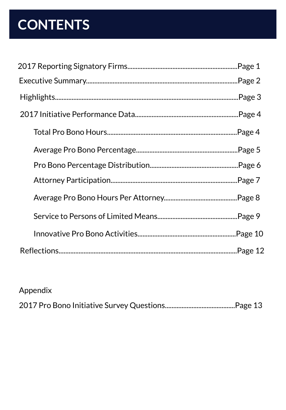# **CONTENTS**

| .Page 2  |
|----------|
|          |
|          |
|          |
|          |
|          |
| Page 7.  |
|          |
|          |
| Page 10. |
|          |

### Appendix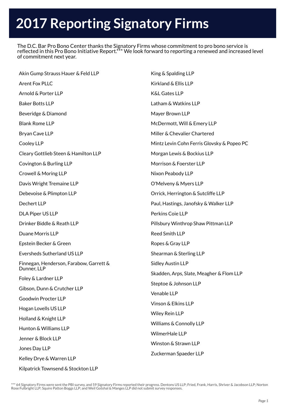# **2017 Reporting Signatory Firms**

The D.C. Bar Pro Bono Center thanks the Signatory Firms whose commitment to pro bono service is reflected in this Pro Bono Initiative Report.\*\*\* We look forward to reporting a renewed and increased level of commitment next year.

| Akin Gump Strauss Hauer & Feld LLP                     | King & Spalding LLP                        |  |
|--------------------------------------------------------|--------------------------------------------|--|
| Arent Fox PLLC                                         | Kirkland & Ellis LLP                       |  |
| Arnold & Porter LLP                                    | <b>K&amp;L Gates LLP</b>                   |  |
| <b>Baker Botts LLP</b>                                 | Latham & Watkins LLP                       |  |
| Beveridge & Diamond                                    | Mayer Brown LLP                            |  |
| <b>Blank Rome LLP</b>                                  | McDermott, Will & Emery LLP                |  |
| Bryan Cave LLP                                         | Miller & Chevalier Chartered               |  |
| Cooley LLP                                             | Mintz Levin Cohn Ferris Glovsky & Popeo PC |  |
| Cleary Gottlieb Steen & Hamilton LLP                   | Morgan Lewis & Bockius LLP                 |  |
| Covington & Burling LLP                                | Morrison & Foerster LLP                    |  |
| Crowell & Moring LLP                                   | Nixon Peabody LLP                          |  |
| Davis Wright Tremaine LLP                              | O'Melveny & Myers LLP                      |  |
| Debevoise & Plimpton LLP                               | Orrick, Herrington & Sutcliffe LLP         |  |
| Dechert LLP                                            | Paul, Hastings, Janofsky & Walker LLP      |  |
| <b>DLA Piper US LLP</b>                                | Perkins Coie LLP                           |  |
| Drinker Biddle & Reath LLP                             | Pillsbury Winthrop Shaw Pittman LLP        |  |
| Duane Morris LLP                                       | Reed Smith LLP                             |  |
| Epstein Becker & Green                                 | Ropes & Gray LLP                           |  |
| Eversheds Sutherland US LLP                            | Shearman & Sterling LLP                    |  |
| Finnegan, Henderson, Farabow, Garrett &<br>Dunner, LLP | <b>Sidley Austin LLP</b>                   |  |
| Foley & Lardner LLP                                    | Skadden, Arps, Slate, Meagher & Flom LLP   |  |
| Gibson, Dunn & Crutcher LLP                            | Steptoe & Johnson LLP                      |  |
| Goodwin Procter LLP                                    | Venable LLP                                |  |
| Hogan Lovells US LLP                                   | Vinson & Elkins LLP                        |  |
| Holland & Knight LLP                                   | <b>Wiley Rein LLP</b>                      |  |
| Hunton & Williams LLP                                  | Williams & Connolly LLP                    |  |
| Jenner & Block LLP                                     | WilmerHale LLP                             |  |
| Jones Day LLP                                          | Winston & Strawn LLP                       |  |
| Kelley Drye & Warren LLP                               | Zuckerman Spaeder LLP                      |  |

\*\*\* 64 Signatory Firms were sent the PBI survey, and 59 Signatory Firms reported their progress. Dentons US LLP; Fried, Frank, Harris, Shriver & Jacobson LLP; Norton<br>Rose Fulbright LLP; Squire Patton Boggs LLP; and Weil Go

Kilpatrick Townsend & Stockton LLP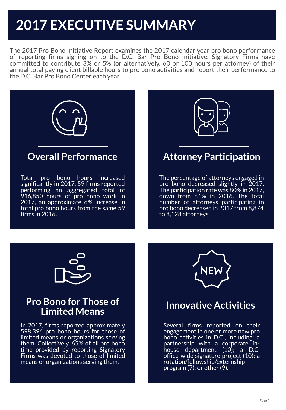# **2017 EXECUTIVE SUMMARY**

The 2017 Pro Bono Initiative Report examines the 2017 calendar year pro bono performance of reporting firms signing on to the D.C. Bar Pro Bono Initiative. Signatory Firms have committed to contribute 3% or 5% (or alternatively, 60 or 100 hours per attorney) of their annual total paying client billable hours to pro bono activities and report their performance to the D.C. Bar Pro Bono Center each year.



### **Overall Performance**

Total pro bono hours increased significantly in 2017. 59 firms reported performing an aggregated total of 916,850 hours of pro bono work in 2017, an approximate 6% increase in total pro bono hours from the same 59 firms in 2016.



### **Attorney Participation**

The percentage of attorneys engaged in pro bono decreased slightly in 2017. The participation rate was 80% in 2017, down from 81% in 2016. The total number of attorneys participating in pro bono decreased in 2017 from 8,874 to 8,128 attorneys.



#### **Pro Bono for Those of Limited Means**

In 2017, firms reported approximately 598,394 pro bono hours for those of limited means or organizations serving them. Collectively, 65% of all pro bono time provided by reporting Signatory Firms was devoted to those of limited means or organizations serving them.



### **Innovative Activities**

Several firms reported on their engagement in one or more new pro bono activities in D.C., including: a partnership with a corporate inhouse department (10); a D.C. office-wide signature project (10); a rotation/fellowship/externship program (7); or other (9).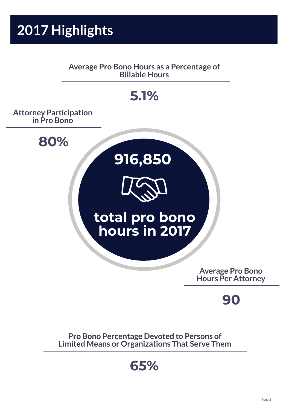2017 Highlights

Average Pro Bono Hours as a Percentage of **Billable** Hours



**9 0**

Pro Bono Percentage Devoted to Persons of **Limited Means or Organizations That Serve Them** 

**6 5 %**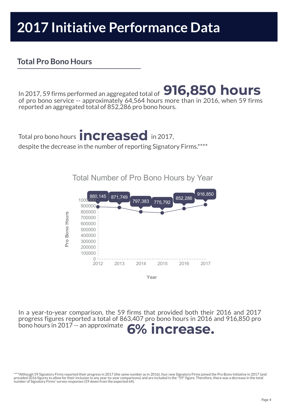#### **Total Pro Bono Hours**

of pro bono service -- approximately 64,564 hours more than in 2016, when 59 firms reported an aggregated total of 852,286 pro bono hours. **916,850 hours** In 2017, 59 firms performed an aggregated total of

Total pro bono hours **increased** in 2017,

despite the decrease in the number of reporting Signatory Firms.\*\*\*\*

Total Number of Pro Bono Hours by Year



In a year-to-year comparison, the 59 firms that provided both their 2016 and 2017 progress figures reported a total of 863,407 pro bono hours in 2016 and 916,850 pro

### bono hours in <sup>2017</sup> -- an approximate **6% increase.**

<sup>\*\*\*\*</sup>Although 59 Signatory Firms reported their progress in 2017 (the same number as in 2016), four new Signatory Firms joined the Pro Bono Initiative in 2017 (and<br>provided 2016 figures to allow for their inclusion in any y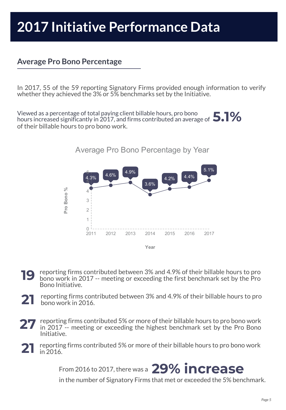#### **Average Pro Bono Percentage**

In 2017, 55 of the 59 reporting Signatory Firms provided enough information to verify whether they achieved the 3% or 5% benchmarks set by the Initiative.

**5.1%** hours increased significantly in 2017, and firms contributed an average of Viewed as a percentage of total paying client billable hours, pro bono of their billable hours to pro bono work.



- **19** reporting firms contributed between 3% and 4.9% of their billable hours to pro bono work in 2017 -- meeting or exceeding the first benchmark set by the Pro Bono Initiative.
- **21** reporting firms contributed between 3% and 4.9% of their billable hours to pro bono work in 2016.
- **27** reporting firms contributed 5% or more of their billable hours to pro bono work in 2017 -- meeting or exceeding the highest benchmark set by the Pro Bono Initiative.
- **21** reporting firms contributed 5% or more of their billable hours to pro bono work in 2016.



in the number of Signatory Firms that met or exceeded the 5% benchmark.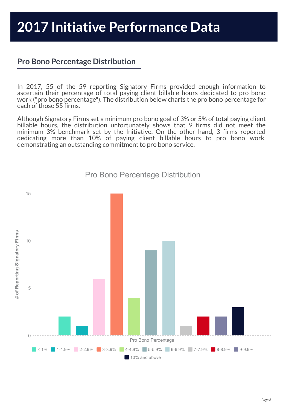#### **Pro Bono Percentage Distribution**

In 2017, 55 of the 59 reporting Signatory Firms provided enough information to ascertain their percentage of total paying client billable hours dedicated to pro bono work ("pro bono percentage"). The distribution below charts the pro bono percentage for each of those 55 firms.

Although Signatory Firms set a minimum pro bono goal of 3% or 5% of total paying client billable hours, the distribution unfortunately shows that 9 firms did not meet the minimum 3% benchmark set by the Initiative. On the other hand, 3 firms reported dedicating more than 10% of paying client billable hours to pro bono work, demonstrating an outstanding commitment to pro bono service.



#### Pro Bono Percentage Distribution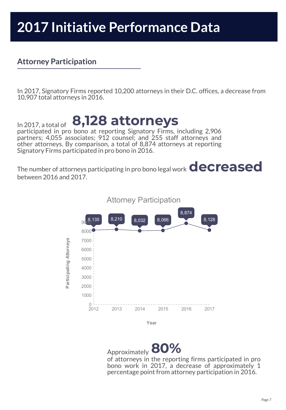#### **Attorney Participation**

In 2017, a total of

In 2017, Signatory Firms reported 10,200 attorneys in their D.C. offices, a decrease from 10,907 total attorneys in 2016.



participated in pro bono at reporting Signatory Firms, including 2,906 partners; 4,055 associates; 912 counsel; and 255 staff attorneys and other attorneys. By comparison, a total of 8,874 attorneys at reporting Signatory Firms participated in pro bono in 2016.

The number of attorneys participating in pro bono legal work **decreased** between 2016 and 2017.



Approximately **80%** of attorneys in the reporting firms participated in pro bono work in 2017, a decrease of approximately 1 percentage point from attorney participation in 2016.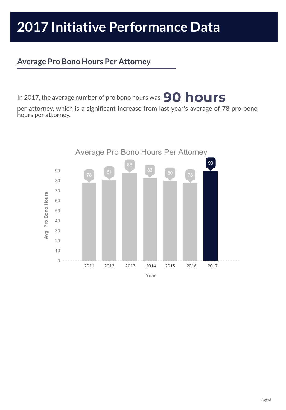#### **Average Pro Bono Hours Per Attorney**

In 2017, the average number of pro bono hours was **90 hours**

per attorney, which is a significant increase from last year's average of 78 pro bono hours per attorney.

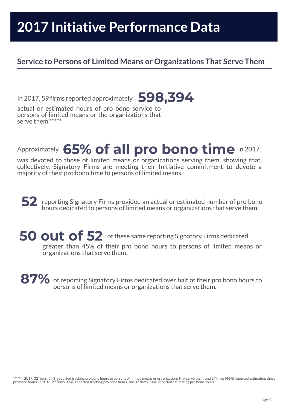#### **Service to Persons of Limited Means or Organizations That Serve Them**

In 2017, <sup>59</sup> firms reported approximately **598,394**

actual or estimated hours of pro bono service to persons of limited means or the organizations that serve them.\*\*\*\*\*

### Approximately **65% of all pro bono time** in <sup>2017</sup>

was devoted to those of limited means or organizations serving them, showing that, collectively, Signatory Firms are meeting their Initiative commitment to devote a majority of their pro bono time to persons of limited means.

**52** reporting Signatory Firms provided an actual or estimated number of pro bono hours dedicated to persons of limited means or organizations that serve them.

**50 out of 52** of these same reporting Signatory Firms dedicated greater than 45% of their pro bono hours to persons of limited means or organizations that serve them.

**87%** of reporting Signatory Firms dedicated over half of their pro bono hours to persons of limited means or organizations that serve them.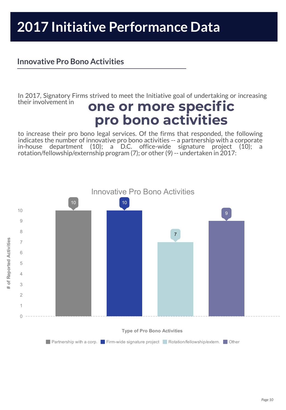#### **Innovative Pro Bono Activities**

In 2017, Signatory Firms strived to meet the Initiative goal of undertaking or increasing their involvement in

### **one or more specific pro bono activities**

to increase their pro bono legal services. Of the firms that responded, the following indicates the number of innovative pro bono activities -- a partnership with a corporate in-house department (10); a D.C. office-wide signature project (10); a rotation/fellowship/externship program (7); or other (9) -- undertaken in 2017:

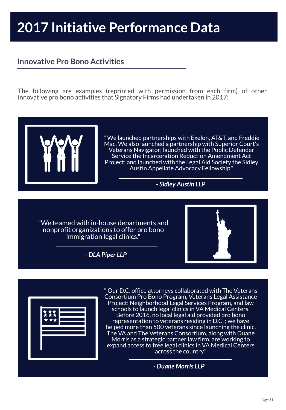#### **Innovative Pro Bono Activities**

The following are examples (reprinted with permission from each firm) of other innovative pro bono activities that Signatory Firms had undertaken in 2017:



" We launched partnerships with Exelon, AT&T, and Freddie Mac. We also launched a partnership with Superior Court's Veterans Navigator; launched with the Public Defender Service the Incarceration Reduction Amendment Act Project; and launched with the Legal Aid Society the Sidley Austin Appellate Advocacy Fellowship."

#### *- Sidley Austin LLP*

"We teamed with in-house departments and nonprofit organizations to offer pro bono immigration legal clinics."

*- DLA Piper LLP*





**Estimate 13 Schools to launch legal clinics in VA Medic** " Our D.C. office attorneys collaborated with The Veterans Consortium Pro Bono Program, Veterans Legal Assistance Project: Neighborhood Legal Services Program, and law schools to launch legal clinics in VA Medical Centers. Before 2016, no local legal aid provided pro bono representation to veterans residing in D.C. ; we have helped more than 500 veterans since launching the clinic. The VA and The Veterans Consortium, along with Duane Morris as a strategic partner law firm, are working to expand access to free legal clinics in VA Medical Centers across the country."

*- Duane Morris LLP*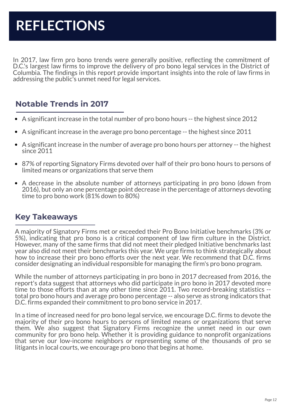In 2017, law firm pro bono trends were generally positive, reflecting the commitment of D.C.'s largest law firms to improve the delivery of pro bono legal services in the District of Columbia. The findings in this report provide important insights into the role of law firms in addressing the public's unmet need for legal services.

#### **Notable Trends in 2017**

- A significant increase in the total number of pro bono hours -- the highest since 2012
- A significant increase in the average pro bono percentage -- the highest since 2011
- A significant increase in the number of average pro bono hours per attorney -- the highest since 2011
- 87% of reporting Signatory Firms devoted over half of their pro bono hours to persons of limited means or organizations that serve them
- A decrease in the absolute number of attorneys participating in pro bono (down from 2016), but only an one percentage point decrease in the percentage of attorneys devoting time to pro bono work (81% down to 80%)

#### **Key Takeaways**

A majority of Signatory Firms met or exceeded their Pro Bono Initiative benchmarks (3% or 5%), indicating that pro bono is a critical component of law firm culture in the District. However, many of the same firms that did not meet their pledged Initiative benchmarks last year also did not meet their benchmarks this year. We urge firms to think strategically about how to increase their pro bono efforts over the next year. We recommend that D.C. firms consider designating an individual responsible for managing the firm's pro bono program.

While the number of attorneys participating in pro bono in 2017 decreased from 2016, the report's data suggest that attorneys who did participate in pro bono in 2017 devoted more time to those efforts than at any other time since 2011. Two record-breaking statistics - total pro bono hours and average pro bono percentage -- also serve as strong indicators that D.C. firms expanded their commitment to pro bono service in 2017.

In a time of increased need for pro bono legal service, we encourage D.C. firms to devote the majority of their pro bono hours to persons of limited means or organizations that serve them. We also suggest that Signatory Firms recognize the unmet need in our own community for pro bono help. Whether it is providing guidance to nonprofit organizations that serve our low-income neighbors or representing some of the thousands of pro se litigants in local courts, we encourage pro bono that begins at home.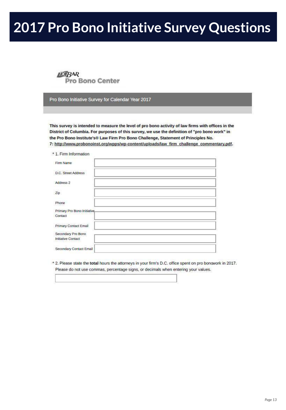### **2017 Pro Bono Initiative Survey Questions**



Pro Bono Initiative Survey for Calendar Year 2017

This survey is intended to measure the level of pro bono activity of law firms with offices in the District of Columbia. For purposes of this survey, we use the definition of "pro bono work" in the Pro Bono Institute's® Law Firm Pro Bono Challenge, Statement of Principles No. 7: http://www.probonoinst.org/wpps/wp-content/uploads/law firm challenge commentary.pdf.

| * 1. Firm Information        |  |
|------------------------------|--|
| Firm Name                    |  |
| D.C. Street Address          |  |
| Address 2                    |  |
| Zip                          |  |
| Phone                        |  |
| Primary Pro Bono Initiative, |  |
| Contact                      |  |
| Primary Contact Email        |  |
| Secondary Pro Bono           |  |
| Initiative Contact           |  |
| Secondary Contact Email      |  |

\* 2. Please state the total hours the attorneys in your firm's D.C. office spent on pro bonowork in 2017. Please do not use commas, percentage signs, or decimals when entering your values.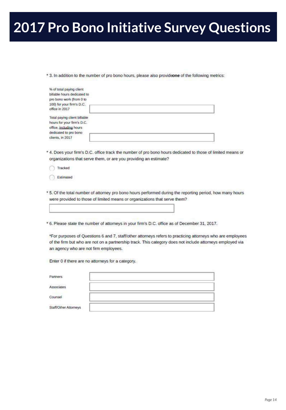### **2017 Pro Bono Initiative Survey Questions**

\* 3. In addition to the number of pro bono hours, please also provideone of the following metrics:

| % of total paying client<br>billable hours dedicated to<br>pro bono work (from 0 to<br>100) for your firm's D.C.<br>office in 2017 |  |
|------------------------------------------------------------------------------------------------------------------------------------|--|
| Total paying client billable<br>hours for your firm's D.C.<br>office, including hours<br>dedicated to pro bono<br>clients, in 2017 |  |

\* 4. Does your firm's D.C. office track the number of pro bono hours dedicated to those of limited means or organizations that serve them, or are you providing an estimate?

| Tracked |
|---------|
|         |

Estimated O).

\* 5. Of the total number of attorney pro bono hours performed during the reporting period, how many hours were provided to those of limited means or organizations that serve them?

\* 6. Please state the number of attorneys in your firm's D.C. office as of December 31, 2017.

\*For purposes of Questions 6 and 7, staff/other attorneys refers to practicing attorneys who are employees of the firm but who are not on a partnership track. This category does not include attorneys employed via an agency who are not firm employees.

Enter 0 if there are no attorneys for a category.

| Partners              |  |
|-----------------------|--|
| Associates            |  |
| Counsel               |  |
| Staff/Other Attorneys |  |